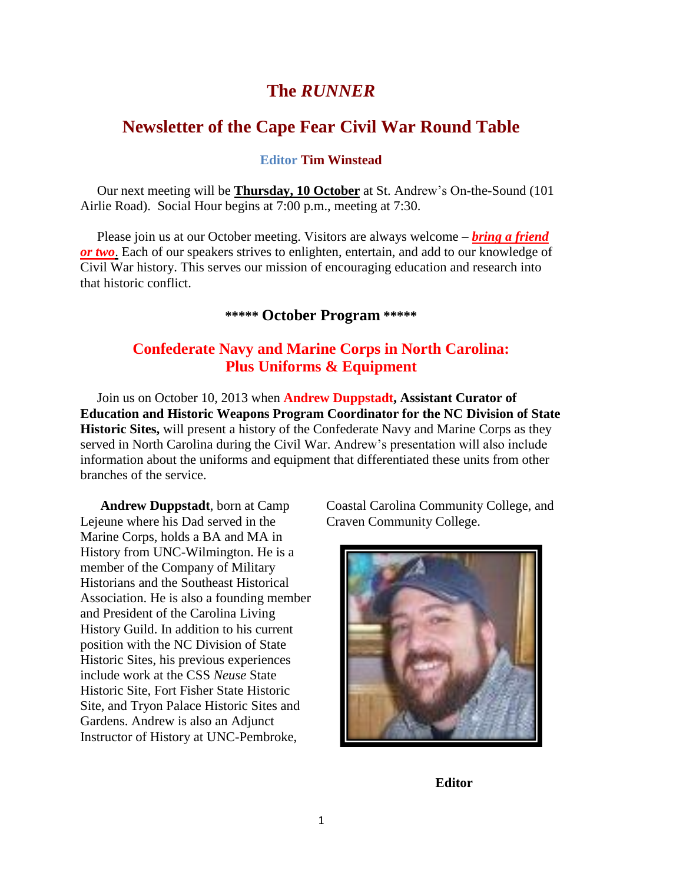# **The** *RUNNER*

# **Newsletter of the Cape Fear Civil War Round Table**

#### **Editor Tim Winstead**

 Our next meeting will be **Thursday, 10 October** at St. Andrew's On-the-Sound (101 Airlie Road). Social Hour begins at 7:00 p.m., meeting at 7:30.

Please join us at our October meeting. Visitors are always welcome – *bring a friend or two*. Each of our speakers strives to enlighten, entertain, and add to our knowledge of Civil War history. This serves our mission of encouraging education and research into that historic conflict.

#### **\*\*\*\*\* October Program \*\*\*\*\***

## **Confederate Navy and Marine Corps in North Carolina: Plus Uniforms & Equipment**

 Join us on October 10, 2013 when **Andrew Duppstadt, Assistant Curator of Education and Historic Weapons Program Coordinator for the NC Division of State Historic Sites,** will present a history of the Confederate Navy and Marine Corps as they served in North Carolina during the Civil War. Andrew's presentation will also include information about the uniforms and equipment that differentiated these units from other branches of the service.

 **Andrew Duppstadt**, born at Camp Lejeune where his Dad served in the Marine Corps, holds a BA and MA in History from UNC-Wilmington. He is a member of the Company of Military Historians and the Southeast Historical Association. He is also a founding member and President of the Carolina Living History Guild. In addition to his current position with the NC Division of State Historic Sites, his previous experiences include work at the CSS *Neuse* State Historic Site, Fort Fisher State Historic Site, and Tryon Palace Historic Sites and Gardens. Andrew is also an Adjunct Instructor of History at UNC-Pembroke,

Coastal Carolina Community College, and Craven Community College.



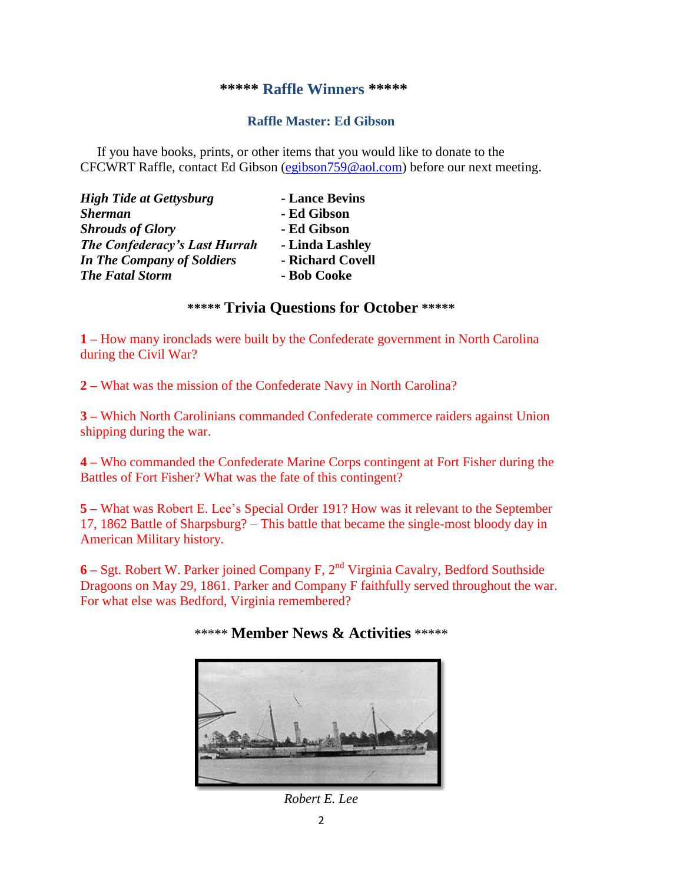#### **\*\*\*\*\* Raffle Winners \*\*\*\*\***

#### **Raffle Master: Ed Gibson**

If you have books, prints, or other items that you would like to donate to the CFCWRT Raffle, contact Ed Gibson [\(egibson759@aol.com\)](mailto:egibson759@aol.com) before our next meeting.

| <b>High Tide at Gettysburg</b>       | - Lance Bevins   |
|--------------------------------------|------------------|
| <b>Sherman</b>                       | - Ed Gibson      |
| <b>Shrouds of Glory</b>              | - Ed Gibson      |
| <b>The Confederacy's Last Hurrah</b> | - Linda Lashley  |
| <b>In The Company of Soldiers</b>    | - Richard Covell |
| <b>The Fatal Storm</b>               | - Bob Cooke      |

### **\*\*\*\*\* Trivia Questions for October \*\*\*\*\***

**1 –** How many ironclads were built by the Confederate government in North Carolina during the Civil War?

**2 –** What was the mission of the Confederate Navy in North Carolina?

**3 –** Which North Carolinians commanded Confederate commerce raiders against Union shipping during the war.

**4 –** Who commanded the Confederate Marine Corps contingent at Fort Fisher during the Battles of Fort Fisher? What was the fate of this contingent?

**5 –** What was Robert E. Lee's Special Order 191? How was it relevant to the September 17, 1862 Battle of Sharpsburg? – This battle that became the single-most bloody day in American Military history.

**6 –** Sgt. Robert W. Parker joined Company F, 2nd Virginia Cavalry, Bedford Southside Dragoons on May 29, 1861. Parker and Company F faithfully served throughout the war. For what else was Bedford, Virginia remembered?

# \*\*\*\*\* **Member News & Activities** \*\*\*\*\*



*Robert E. Lee*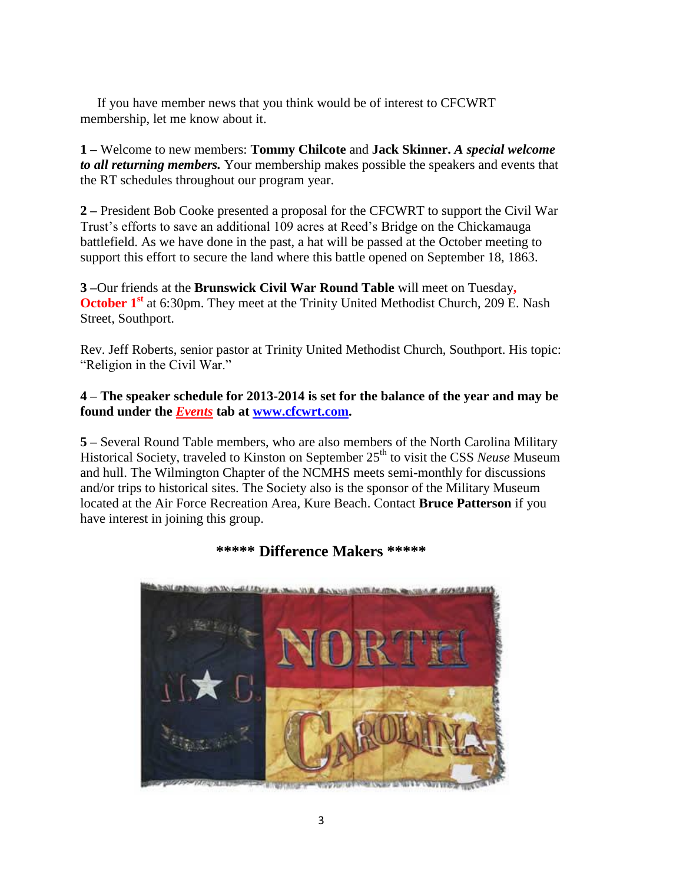If you have member news that you think would be of interest to CFCWRT membership, let me know about it.

**1 –** Welcome to new members: **Tommy Chilcote** and **Jack Skinner.** *A special welcome to all returning members.* Your membership makes possible the speakers and events that the RT schedules throughout our program year.

**2 –** President Bob Cooke presented a proposal for the CFCWRT to support the Civil War Trust's efforts to save an additional 109 acres at Reed's Bridge on the Chickamauga battlefield. As we have done in the past, a hat will be passed at the October meeting to support this effort to secure the land where this battle opened on September 18, 1863.

**3 –**Our friends at the **Brunswick Civil War Round Table** will meet on Tuesday**, October 1<sup>st</sup>** at 6:30pm. They meet at the Trinity United Methodist Church, 209 E. Nash Street, Southport.

Rev. Jeff Roberts, senior pastor at Trinity United Methodist Church, Southport. His topic: "Religion in the Civil War."

### **4 – The speaker schedule for 2013-2014 is set for the balance of the year and may be found under the** *Events* **tab at [www.cfcwrt.com.](http://www.cfcwrt.com/)**

**5 –** Several Round Table members, who are also members of the North Carolina Military Historical Society, traveled to Kinston on September 25<sup>th</sup> to visit the CSS *Neuse* Museum and hull. The Wilmington Chapter of the NCMHS meets semi-monthly for discussions and/or trips to historical sites. The Society also is the sponsor of the Military Museum located at the Air Force Recreation Area, Kure Beach. Contact **Bruce Patterson** if you have interest in joining this group.



## **\*\*\*\*\* Difference Makers \*\*\*\*\***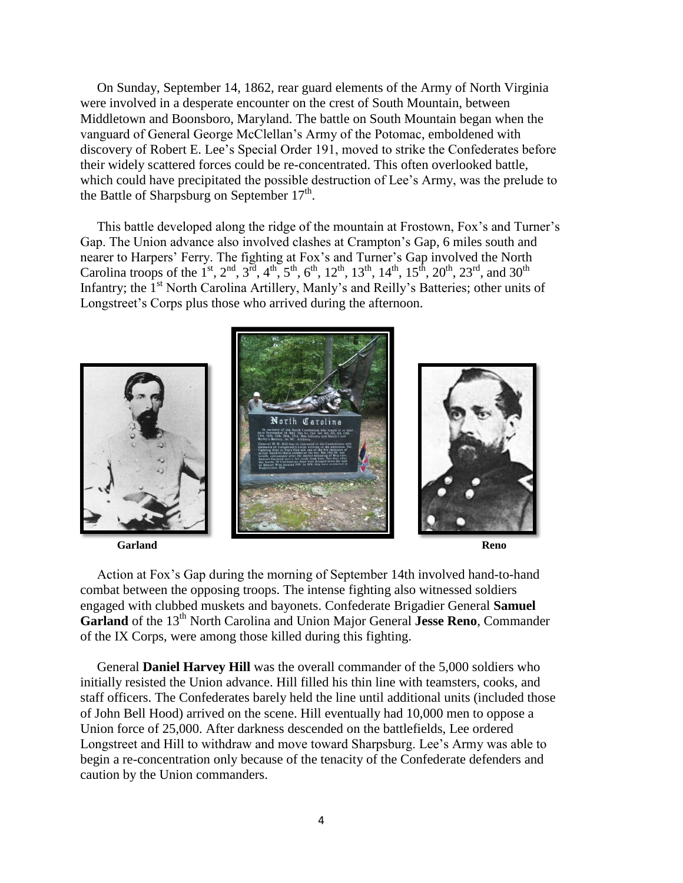On Sunday, September 14, 1862, rear guard elements of the Army of North Virginia were involved in a desperate encounter on the crest of South Mountain, between Middletown and Boonsboro, Maryland. The battle on South Mountain began when the vanguard of General George McClellan's Army of the Potomac, emboldened with discovery of Robert E. Lee's Special Order 191, moved to strike the Confederates before their widely scattered forces could be re-concentrated. This often overlooked battle, which could have precipitated the possible destruction of Lee's Army, was the prelude to the Battle of Sharpsburg on September  $17<sup>th</sup>$ .

 This battle developed along the ridge of the mountain at Frostown, Fox's and Turner's Gap. The Union advance also involved clashes at Crampton's Gap, 6 miles south and nearer to Harpers' Ferry. The fighting at Fox's and Turner's Gap involved the North Carolina troops of the 1<sup>st</sup>, 2<sup>nd</sup>, 3<sup>rd</sup>, 4<sup>th</sup>, 5<sup>th</sup>, 6<sup>th</sup>, 12<sup>th</sup>, 13<sup>th</sup>, 14<sup>th</sup>, 15<sup>th</sup>, 20<sup>th</sup>, 23<sup>rd</sup>, and 30<sup>th</sup> Infantry; the 1<sup>st</sup> North Carolina Artillery, Manly's and Reilly's Batteries; other units of Longstreet's Corps plus those who arrived during the afternoon.



 Action at Fox's Gap during the morning of September 14th involved hand-to-hand combat between the opposing troops. The intense fighting also witnessed soldiers engaged with clubbed muskets and bayonets. Confederate Brigadier General **Samuel Garland** of the 13<sup>th</sup> North Carolina and Union Major General **Jesse Reno**, Commander of the IX Corps, were among those killed during this fighting.

 General **Daniel Harvey Hill** was the overall commander of the 5,000 soldiers who initially resisted the Union advance. Hill filled his thin line with teamsters, cooks, and staff officers. The Confederates barely held the line until additional units (included those of John Bell Hood) arrived on the scene. Hill eventually had 10,000 men to oppose a Union force of 25,000. After darkness descended on the battlefields, Lee ordered Longstreet and Hill to withdraw and move toward Sharpsburg. Lee's Army was able to begin a re-concentration only because of the tenacity of the Confederate defenders and caution by the Union commanders.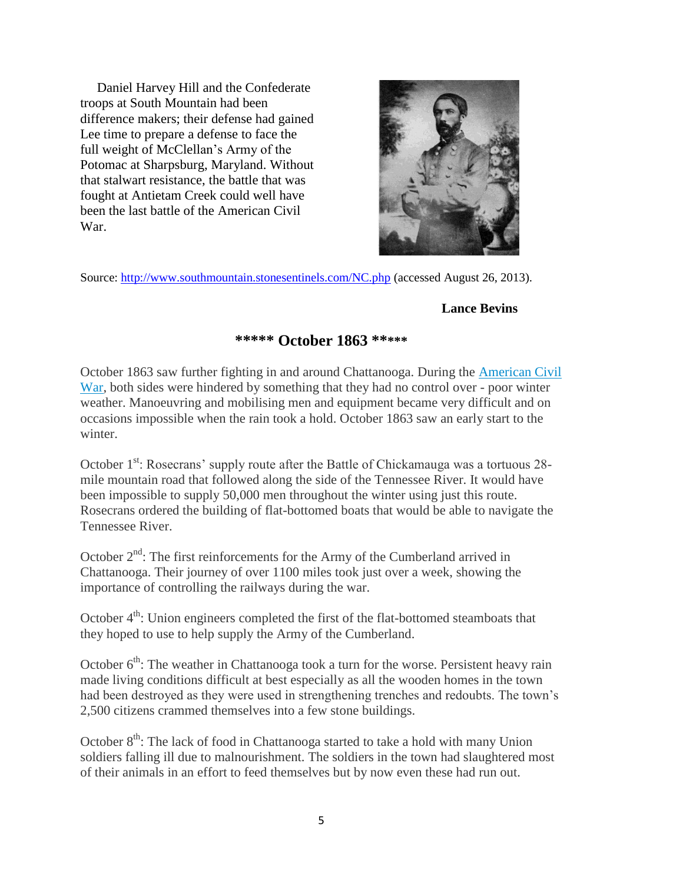Daniel Harvey Hill and the Confederate troops at South Mountain had been difference makers; their defense had gained Lee time to prepare a defense to face the full weight of McClellan's Army of the Potomac at Sharpsburg, Maryland. Without that stalwart resistance, the battle that was fought at Antietam Creek could well have been the last battle of the American Civil War.



Source:<http://www.southmountain.stonesentinels.com/NC.php> (accessed August 26, 2013).

### **Lance Bevins**

## **\*\*\*\*\* October 1863 \*\*\*\*\***

October 1863 saw further fighting in and around Chattanooga. During the [American Civil](http://www.historylearningsite.co.uk/american-civil-war.htm)  [War,](http://www.historylearningsite.co.uk/american-civil-war.htm) both sides were hindered by something that they had no control over - poor winter weather. Manoeuvring and mobilising men and equipment became very difficult and on occasions impossible when the rain took a hold. October 1863 saw an early start to the winter.

October 1<sup>st</sup>: Rosecrans' supply route after the Battle of Chickamauga was a tortuous 28mile mountain road that followed along the side of the Tennessee River. It would have been impossible to supply 50,000 men throughout the winter using just this route. Rosecrans ordered the building of flat-bottomed boats that would be able to navigate the Tennessee River.

October  $2<sup>nd</sup>$ : The first reinforcements for the Army of the Cumberland arrived in Chattanooga. Their journey of over 1100 miles took just over a week, showing the importance of controlling the railways during the war.

October  $4<sup>th</sup>$ : Union engineers completed the first of the flat-bottomed steamboats that they hoped to use to help supply the Army of the Cumberland.

October  $6<sup>th</sup>$ : The weather in Chattanooga took a turn for the worse. Persistent heavy rain made living conditions difficult at best especially as all the wooden homes in the town had been destroyed as they were used in strengthening trenches and redoubts. The town's 2,500 citizens crammed themselves into a few stone buildings.

October  $8<sup>th</sup>$ : The lack of food in Chattanooga started to take a hold with many Union soldiers falling ill due to malnourishment. The soldiers in the town had slaughtered most of their animals in an effort to feed themselves but by now even these had run out.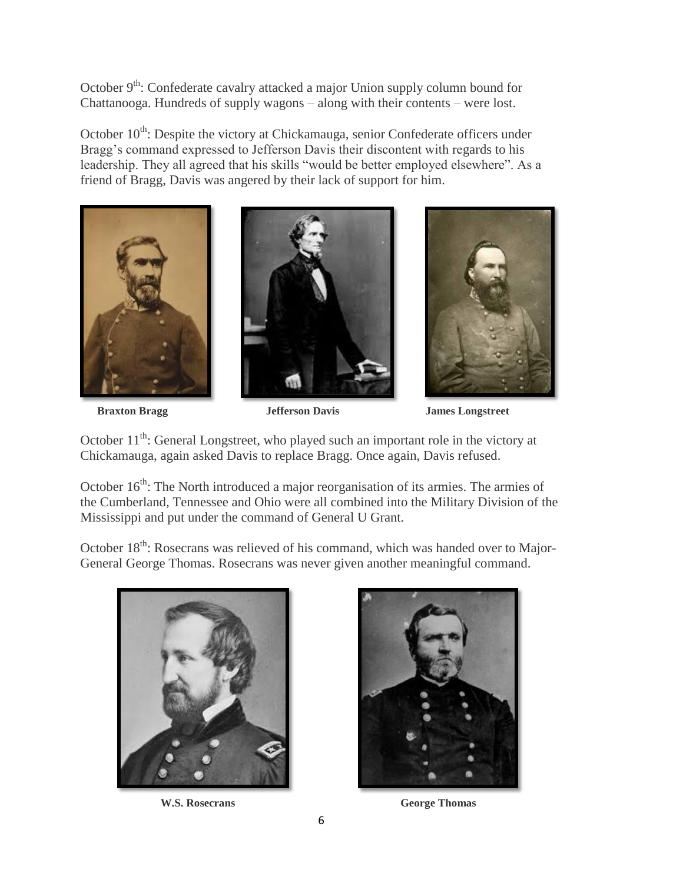October  $9<sup>th</sup>$ : Confederate cavalry attacked a major Union supply column bound for Chattanooga. Hundreds of supply wagons – along with their contents – were lost.

October 10<sup>th</sup>: Despite the victory at Chickamauga, senior Confederate officers under Bragg's command expressed to Jefferson Davis their discontent with regards to his leadership. They all agreed that his skills "would be better employed elsewhere". As a friend of Bragg, Davis was angered by their lack of support for him.







 **Braxton Bragg Jefferson Davis James Longstreet**

October  $11<sup>th</sup>$ : General Longstreet, who played such an important role in the victory at Chickamauga, again asked Davis to replace Bragg. Once again, Davis refused.

October 16<sup>th</sup>: The North introduced a major reorganisation of its armies. The armies of the Cumberland, Tennessee and Ohio were all combined into the Military Division of the Mississippi and put under the command of General U Grant.

October 18<sup>th</sup>: Rosecrans was relieved of his command, which was handed over to Major-General George Thomas. Rosecrans was never given another meaningful command.





**W.S. Rosecrans George Thomas**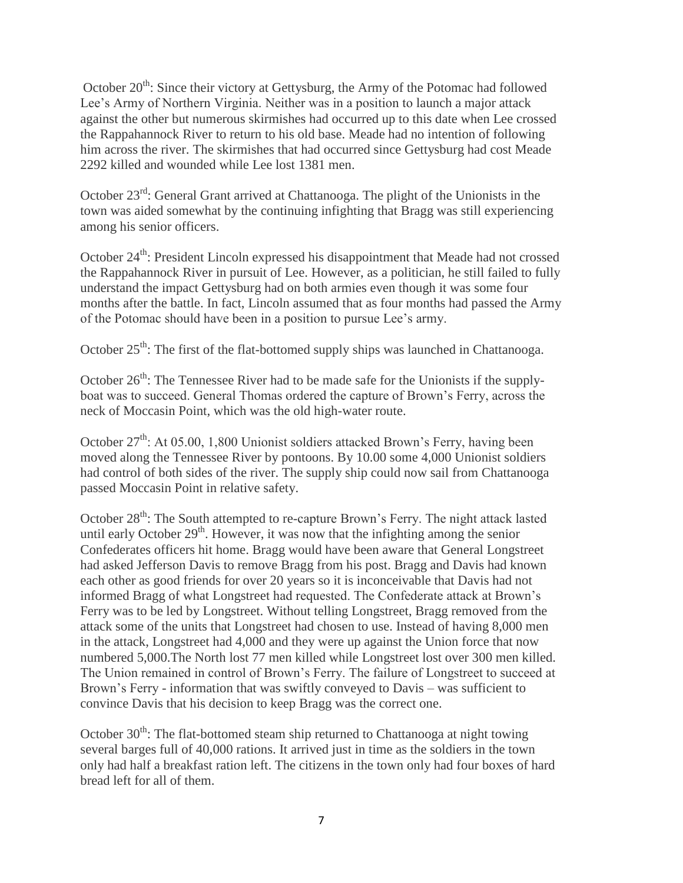October  $20^{th}$ : Since their victory at Gettysburg, the Army of the Potomac had followed Lee's Army of Northern Virginia. Neither was in a position to launch a major attack against the other but numerous skirmishes had occurred up to this date when Lee crossed the Rappahannock River to return to his old base. Meade had no intention of following him across the river. The skirmishes that had occurred since Gettysburg had cost Meade 2292 killed and wounded while Lee lost 1381 men.

October 23rd: General Grant arrived at Chattanooga. The plight of the Unionists in the town was aided somewhat by the continuing infighting that Bragg was still experiencing among his senior officers.

October 24<sup>th</sup>: President Lincoln expressed his disappointment that Meade had not crossed the Rappahannock River in pursuit of Lee. However, as a politician, he still failed to fully understand the impact Gettysburg had on both armies even though it was some four months after the battle. In fact, Lincoln assumed that as four months had passed the Army of the Potomac should have been in a position to pursue Lee's army.

October  $25<sup>th</sup>$ : The first of the flat-bottomed supply ships was launched in Chattanooga.

October  $26<sup>th</sup>$ : The Tennessee River had to be made safe for the Unionists if the supplyboat was to succeed. General Thomas ordered the capture of Brown's Ferry, across the neck of Moccasin Point, which was the old high-water route.

October  $27<sup>th</sup>$ : At 05.00, 1,800 Unionist soldiers attacked Brown's Ferry, having been moved along the Tennessee River by pontoons. By 10.00 some 4,000 Unionist soldiers had control of both sides of the river. The supply ship could now sail from Chattanooga passed Moccasin Point in relative safety.

October 28<sup>th</sup>: The South attempted to re-capture Brown's Ferry. The night attack lasted until early October  $29<sup>th</sup>$ . However, it was now that the infighting among the senior Confederates officers hit home. Bragg would have been aware that General Longstreet had asked Jefferson Davis to remove Bragg from his post. Bragg and Davis had known each other as good friends for over 20 years so it is inconceivable that Davis had not informed Bragg of what Longstreet had requested. The Confederate attack at Brown's Ferry was to be led by Longstreet. Without telling Longstreet, Bragg removed from the attack some of the units that Longstreet had chosen to use. Instead of having 8,000 men in the attack, Longstreet had 4,000 and they were up against the Union force that now numbered 5,000.The North lost 77 men killed while Longstreet lost over 300 men killed. The Union remained in control of Brown's Ferry. The failure of Longstreet to succeed at Brown's Ferry - information that was swiftly conveyed to Davis – was sufficient to convince Davis that his decision to keep Bragg was the correct one.

October 30<sup>th</sup>: The flat-bottomed steam ship returned to Chattanooga at night towing several barges full of 40,000 rations. It arrived just in time as the soldiers in the town only had half a breakfast ration left. The citizens in the town only had four boxes of hard bread left for all of them.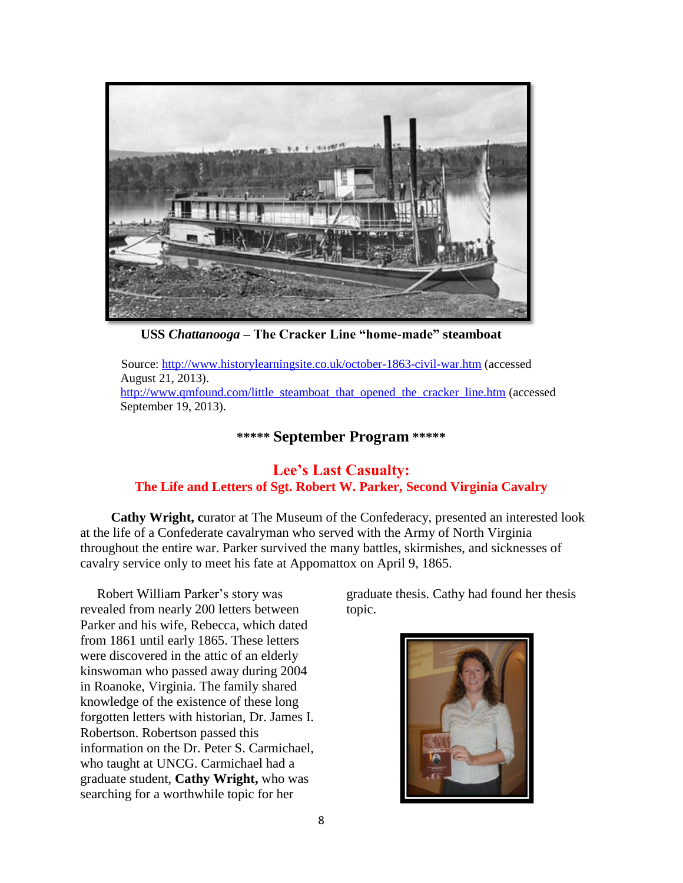

**USS** *Chattanooga* **– The Cracker Line "home-made" steamboat**

Source:<http://www.historylearningsite.co.uk/october-1863-civil-war.htm> (accessed August 21, 2013). [http://www.qmfound.com/little\\_steamboat\\_that\\_opened\\_the\\_cracker\\_line.htm](http://www.qmfound.com/little_steamboat_that_opened_the_cracker_line.htm) (accessed September 19, 2013).

## **\*\*\*\*\* September Program \*\*\*\*\***

## **Lee's Last Casualty: The Life and Letters of Sgt. Robert W. Parker, Second Virginia Cavalry**

 **Cathy Wright, c**urator at The Museum of the Confederacy, presented an interested look at the life of a Confederate cavalryman who served with the Army of North Virginia throughout the entire war. Parker survived the many battles, skirmishes, and sicknesses of cavalry service only to meet his fate at Appomattox on April 9, 1865.

 Robert William Parker's story was revealed from nearly 200 letters between Parker and his wife, Rebecca, which dated from 1861 until early 1865. These letters were discovered in the attic of an elderly kinswoman who passed away during 2004 in Roanoke, Virginia. The family shared knowledge of the existence of these long forgotten letters with historian, Dr. James I. Robertson. Robertson passed this information on the Dr. Peter S. Carmichael, who taught at UNCG. Carmichael had a graduate student, **Cathy Wright,** who was searching for a worthwhile topic for her

graduate thesis. Cathy had found her thesis topic.

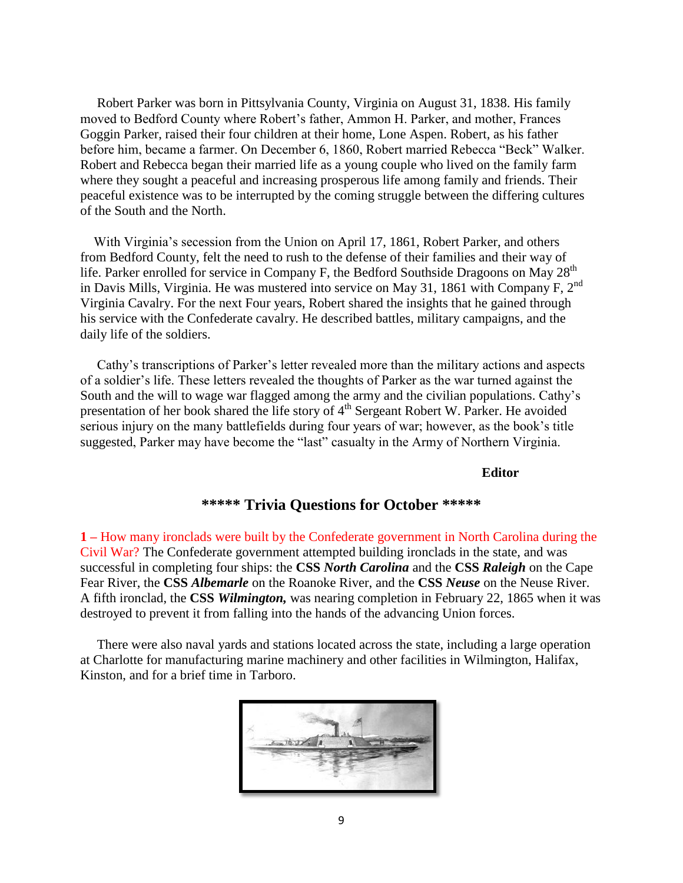Robert Parker was born in Pittsylvania County, Virginia on August 31, 1838. His family moved to Bedford County where Robert's father, Ammon H. Parker, and mother, Frances Goggin Parker, raised their four children at their home, Lone Aspen. Robert, as his father before him, became a farmer. On December 6, 1860, Robert married Rebecca "Beck" Walker. Robert and Rebecca began their married life as a young couple who lived on the family farm where they sought a peaceful and increasing prosperous life among family and friends. Their peaceful existence was to be interrupted by the coming struggle between the differing cultures of the South and the North.

 With Virginia's secession from the Union on April 17, 1861, Robert Parker, and others from Bedford County, felt the need to rush to the defense of their families and their way of life. Parker enrolled for service in Company F, the Bedford Southside Dragoons on May  $28<sup>th</sup>$ in Davis Mills, Virginia. He was mustered into service on May 31, 1861 with Company F,  $2<sup>nd</sup>$ Virginia Cavalry. For the next Four years, Robert shared the insights that he gained through his service with the Confederate cavalry. He described battles, military campaigns, and the daily life of the soldiers.

 Cathy's transcriptions of Parker's letter revealed more than the military actions and aspects of a soldier's life. These letters revealed the thoughts of Parker as the war turned against the South and the will to wage war flagged among the army and the civilian populations. Cathy's presentation of her book shared the life story of 4<sup>th</sup> Sergeant Robert W. Parker. He avoided serious injury on the many battlefields during four years of war; however, as the book's title suggested, Parker may have become the "last" casualty in the Army of Northern Virginia.

#### **Editor**

## **\*\*\*\*\* Trivia Questions for October \*\*\*\*\***

**1 –** How many ironclads were built by the Confederate government in North Carolina during the Civil War? The Confederate government attempted building ironclads in the state, and was successful in completing four ships: the **CSS** *North Carolina* and the **CSS** *Raleigh* on the Cape Fear River, the **CSS** *Albemarle* on the Roanoke River, and the **CSS** *Neuse* on the Neuse River. A fifth ironclad, the **CSS** *Wilmington,* was nearing completion in February 22, 1865 when it was destroyed to prevent it from falling into the hands of the advancing Union forces.

 There were also naval yards and stations located across the state, including a large operation at Charlotte for manufacturing marine machinery and other facilities in Wilmington, Halifax, Kinston, and for a brief time in Tarboro.

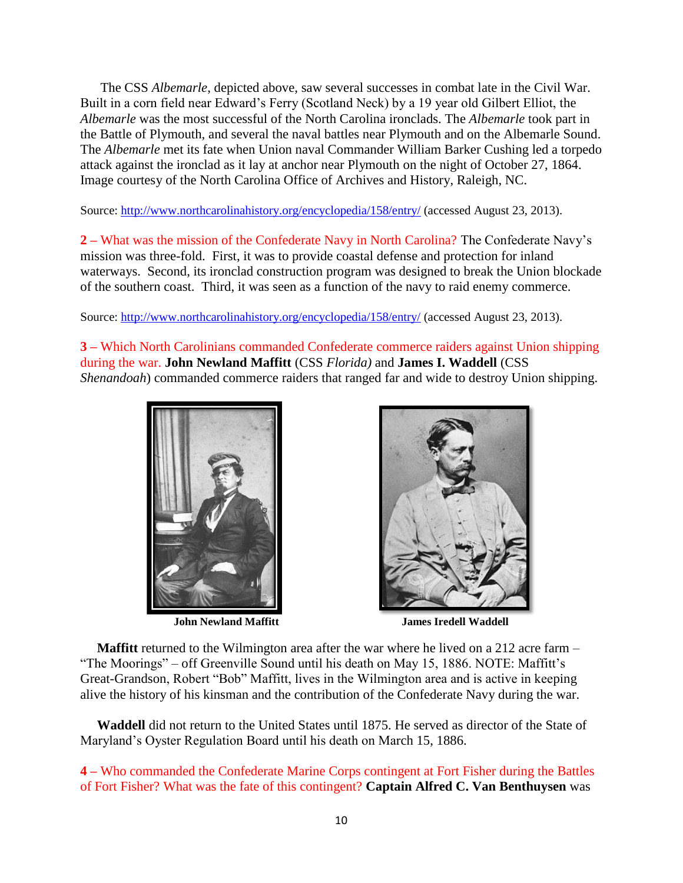The CSS *Albemarle*, depicted above, saw several successes in combat late in the Civil War. Built in a corn field near Edward's Ferry (Scotland Neck) by a 19 year old Gilbert Elliot, the *Albemarle* was the most successful of the North Carolina ironclads. The *Albemarle* took part in the Battle of Plymouth, and several the naval battles near Plymouth and on the Albemarle Sound. The *Albemarle* met its fate when Union naval Commander William Barker Cushing led a torpedo attack against the ironclad as it lay at anchor near Plymouth on the night of October 27, 1864. Image courtesy of the North Carolina Office of Archives and History, Raleigh, NC.

Source:<http://www.northcarolinahistory.org/encyclopedia/158/entry/> (accessed August 23, 2013).

**2 –** What was the mission of the Confederate Navy in North Carolina? The Confederate Navy's mission was three-fold. First, it was to provide coastal defense and protection for inland waterways. Second, its ironclad construction program was designed to break the Union blockade of the southern coast. Third, it was seen as a function of the navy to raid enemy commerce.

Source:<http://www.northcarolinahistory.org/encyclopedia/158/entry/> (accessed August 23, 2013).

**3 –** Which North Carolinians commanded Confederate commerce raiders against Union shipping during the war. **John Newland Maffitt** (CSS *Florida)* and **James I. Waddell** (CSS *Shenandoah*) commanded commerce raiders that ranged far and wide to destroy Union shipping.





**John Newland Maffitt James Iredell Waddell** 

**Maffitt** returned to the Wilmington area after the war where he lived on a 212 acre farm – "The Moorings" – off Greenville Sound until his death on May 15, 1886. NOTE: Maffitt's Great-Grandson, Robert "Bob" Maffitt, lives in the Wilmington area and is active in keeping alive the history of his kinsman and the contribution of the Confederate Navy during the war.

 **Waddell** did not return to the United States until 1875. He served as director of the State of Maryland's Oyster Regulation Board until his death on March 15, 1886.

**4 –** Who commanded the Confederate Marine Corps contingent at Fort Fisher during the Battles of Fort Fisher? What was the fate of this contingent? **Captain Alfred C. Van Benthuysen** was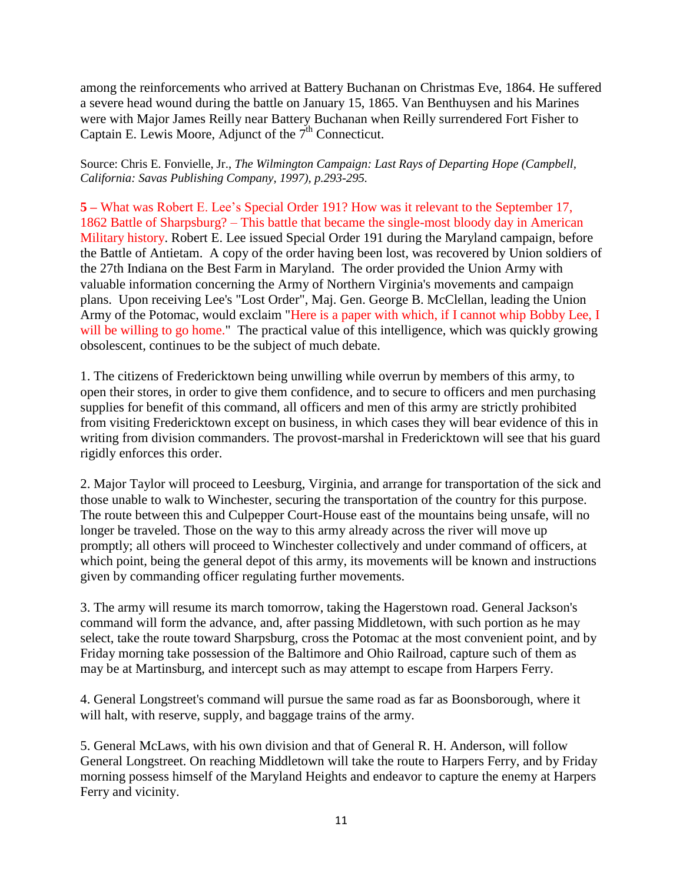among the reinforcements who arrived at Battery Buchanan on Christmas Eve, 1864. He suffered a severe head wound during the battle on January 15, 1865. Van Benthuysen and his Marines were with Major James Reilly near Battery Buchanan when Reilly surrendered Fort Fisher to Captain E. Lewis Moore, Adjunct of the  $7<sup>th</sup>$  Connecticut.

Source: Chris E. Fonvielle, Jr., *The Wilmington Campaign: Last Rays of Departing Hope (Campbell, California: Savas Publishing Company, 1997), p.293-295.*

**5 –** What was Robert E. Lee's Special Order 191? How was it relevant to the September 17, 1862 Battle of Sharpsburg? – This battle that became the single-most bloody day in American Military history. Robert E. Lee issued Special Order 191 during the Maryland campaign, before the Battle of Antietam. A copy of the order having been lost, was recovered by Union soldiers of the 27th Indiana on the Best Farm in Maryland. The order provided the Union Army with valuable information concerning the Army of Northern Virginia's movements and campaign plans. Upon receiving Lee's "Lost Order", Maj. Gen. George B. McClellan, leading the Union Army of the Potomac, would exclaim "Here is a paper with which, if I cannot whip Bobby Lee, I will be willing to go home." The practical value of this intelligence, which was quickly growing obsolescent, continues to be the subject of much debate.

1. The citizens of Fredericktown being unwilling while overrun by members of this army, to open their stores, in order to give them confidence, and to secure to officers and men purchasing supplies for benefit of this command, all officers and men of this army are strictly prohibited from visiting Fredericktown except on business, in which cases they will bear evidence of this in writing from division commanders. The provost-marshal in Fredericktown will see that his guard rigidly enforces this order.

2. Major Taylor will proceed to Leesburg, Virginia, and arrange for transportation of the sick and those unable to walk to Winchester, securing the transportation of the country for this purpose. The route between this and Culpepper Court-House east of the mountains being unsafe, will no longer be traveled. Those on the way to this army already across the river will move up promptly; all others will proceed to Winchester collectively and under command of officers, at which point, being the general depot of this army, its movements will be known and instructions given by commanding officer regulating further movements.

3. The army will resume its march tomorrow, taking the Hagerstown road. General Jackson's command will form the advance, and, after passing Middletown, with such portion as he may select, take the route toward Sharpsburg, cross the Potomac at the most convenient point, and by Friday morning take possession of the Baltimore and Ohio Railroad, capture such of them as may be at Martinsburg, and intercept such as may attempt to escape from Harpers Ferry.

4. General Longstreet's command will pursue the same road as far as Boonsborough, where it will halt, with reserve, supply, and baggage trains of the army.

5. General McLaws, with his own division and that of General R. H. Anderson, will follow General Longstreet. On reaching Middletown will take the route to Harpers Ferry, and by Friday morning possess himself of the Maryland Heights and endeavor to capture the enemy at Harpers Ferry and vicinity.